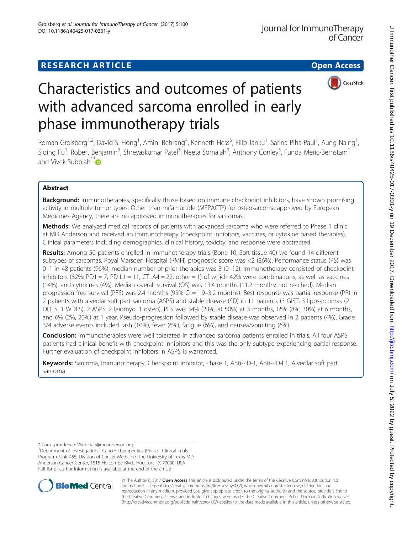# **RESEARCH ARTICLE Example 2014 12:30 The Contract of Contract Contract Contract Contract Contract Contract Contract Contract Contract Contract Contract Contract Contract Contract Contract Contract Contract Contract Contr**



# Characteristics and outcomes of patients with advanced sarcoma enrolled in early phase immunotherapy trials

Roman Groisberg<sup>1,2</sup>, David S. Hong<sup>1</sup>, Amini Behrang<sup>4</sup>, Kenneth Hess<sup>5</sup>, Filip Janku<sup>1</sup>, Sarina Piha-Paul<sup>1</sup>, Aung Naing<sup>1</sup> , Siqing Fu<sup>1</sup>, Robert Benjamin<sup>3</sup>, Shreyaskumar Patel<sup>3</sup>, Neeta Somaiah<sup>3</sup>, Anthony Conley<sup>3</sup>, Funda Meric-Bernstam<sup>1</sup> and Vivek Subbiah<sup>1[\\*](http://orcid.org/0000-0002-6064-6837)</sup>

# Abstract

Background: Immunotherapies, specifically those based on immune checkpoint inhibitors, have shown promising activity in multiple tumor types. Other than mifamurtide (MEPACT®) for osteosarcoma approved by European Medicines Agency, there are no approved immunotherapies for sarcomas.

Methods: We analyzed medical records of patients with advanced sarcoma who were referred to Phase 1 clinic at MD Anderson and received an immunotherapy (checkpoint inhibitors, vaccines, or cytokine based therapies). Clinical parameters including demographics, clinical history, toxicity, and response were abstracted.

Results: Among 50 patients enrolled in immunotherapy trials (Bone 10; Soft-tissue 40) we found 14 different subtypes of sarcomas. Royal Marsden Hospital (RMH) prognostic score was <2 (86%). Performance status (PS) was 0–1 in 48 patients (96%); median number of prior therapies was 3 (0–12). Immunotherapy consisted of checkpoint inhibitors (82%: PD1 = 7, PD-L1 = 11, CTLA4 = 22, other = 1) of which 42% were combinations, as well as vaccines (14%), and cytokines (4%). Median overall survival (OS) was 13.4 months (11.2 months: not reached). Median progression free survival (PFS) was 2.4 months (95% CI = 1.9–3.2 months). Best response was partial response (PR) in 2 patients with alveolar soft part sarcoma (ASPS) and stable disease (SD) in 11 patients (3 GIST, 3 liposarcomas (2 DDLS, 1 WDLS), 2 ASPS, 2 leiomyo, 1 osteo). PFS was 34% (23%, at 50%) at 3 months, 16% (8%, 30%) at 6 months, and 6% (2%, 20%) at 1 year. Pseudo-progression followed by stable disease was observed in 2 patients (4%). Grade 3/4 adverse events included rash (10%), fever (6%), fatigue (6%), and nausea/vomiting (6%).

Conclusion: Immunotherapies were well tolerated in advanced sarcoma patients enrolled in trials. All four ASPS patients had clinical benefit with checkpoint inhibitors and this was the only subtype experiencing partial response. Further evaluation of checkpoint inhibitors in ASPS is warranted.

Keywords: Sarcoma, Immunotherapy, Checkpoint inhibitor, Phase 1, Anti-PD-1, Anti-PD-L1, Alveolar soft part sarcoma

\* Correspondence: [VSubbiah@mdanderson.org](mailto:VSubbiah@mdanderson.org) <sup>1</sup>

<sup>&</sup>lt;sup>1</sup>Department of Investigational Cancer Therapeutics (Phase I Clinical Trials Program), Unit 455, Division of Cancer Medicine, The University of Texas MD Anderson Cancer Center, 1515 Holcombe Blvd., Houston, TX 77030, USA Full list of author information is available at the end of the article



© The Author(s). 2017 **Open Access** This article is distributed under the terms of the Creative Commons Attribution 4.0 International License [\(http://creativecommons.org/licenses/by/4.0/](http://creativecommons.org/licenses/by/4.0/)), which permits unrestricted use, distribution, and reproduction in any medium, provided you give appropriate credit to the original author(s) and the source, provide a link to the Creative Commons license, and indicate if changes were made. The Creative Commons Public Domain Dedication waiver [\(http://creativecommons.org/publicdomain/zero/1.0/](http://creativecommons.org/publicdomain/zero/1.0/)) applies to the data made available in this article, unless otherwise stated.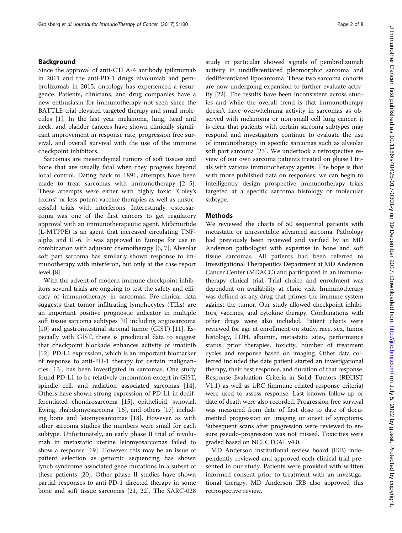# Background

Since the approval of anti-CTLA-4 antibody ipilimumab in 2011 and the anti-PD-1 drugs nivolumab and pembrolizumab in 2015, oncology has experienced a resurgence. Patients, clinicians, and drug companies have a new enthusiasm for immunotherapy not seen since the BATTLE trial elevated targeted therapy and small molecules [[1\]](#page-6-0). In the last year melanoma, lung, head and neck, and bladder cancers have shown clinically significant improvement in response rate, progression free survival, and overall survival with the use of the immune checkpoint inhibitors.

Sarcomas are mesenchymal tumors of soft tissues and bone that are usually fatal when they progress beyond local control. Dating back to 1891, attempts have been made to treat sarcomas with immunotherapy [\[2](#page-6-0)–[5](#page-6-0)]. These attempts were either with highly toxic "Coley's toxins" or less potent vaccine therapies as well as unsuccessful trials with interferons. Interestingly, osteosarcoma was one of the first cancers to get regulatory approval with an immunotherapeutic agent. Mifamurtide (L-MTPPE) is an agent that increased circulating TNFalpha and IL-6. It was approved in Europe for use in combination with adjuvant chemotherapy [\[6](#page-6-0), [7](#page-6-0)]. Alveolar soft part sarcoma has similarly shown response to immunotherapy with interferon, but only at the case report level [\[8](#page-6-0)].

With the advent of modern immune checkpoint inhibitors several trials are ongoing to test the safety and efficacy of immunotherapy in sarcomas. Pre-clinical data suggests that tumor infiltrating lymphocytes (TILs) are an important positive prognostic indicator in multiple soft tissue sarcoma subtypes [\[9](#page-6-0)] including angiosarcoma [[10\]](#page-6-0) and gastrointestinal stromal tumor (GIST) [[11\]](#page-6-0). Especially with GIST, there is preclinical data to suggest that checkpoint blockade enhances activity of imatinib [[12\]](#page-6-0). PD-L1 expression, which is an important biomarker of response to anti-PD-1 therapy for certain malignancies [[13\]](#page-6-0), has been investigated in sarcomas. One study found PD-L1 to be relatively uncommon except in GIST, spindle cell, and radiation associated sarcomas [\[14](#page-6-0)]. Others have shown strong expression of PD-L1 in dedifferentiated chondrosarcoma [[15](#page-6-0)], epithelioid, synovial, Ewing, rhabdomyosarcoma [\[16\]](#page-6-0), and others [[17\]](#page-6-0) including bone and leiomyosarcomas [[18\]](#page-6-0). However, as with other sarcoma studies the numbers were small for each subtype. Unfortunately, an early phase II trial of nivolumab in metastatic uterine leiomyosarcomas failed to show a response [\[19](#page-6-0)]. However, this may be an issue of patient selection as genomic sequencing has shown lynch syndrome associated gene mutations in a subset of these patients [[20\]](#page-7-0). Other phase II studies have shown partial responses to anti-PD-1 directed therapy in some bone and soft tissue sarcomas [[21, 22\]](#page-7-0). The SARC-028 study in particular showed signals of pembrolizumab activity in undifferentiated pleomorphic sarcoma and dedifferentiated liposarcoma. These two sarcoma cohorts are now undergoing expansion to further evaluate activity [[22](#page-7-0)]. The results have been inconsistent across studies and while the overall trend is that immunotherapy doesn't have overwhelming activity in sarcomas as observed with melanoma or non-small cell lung cancer, it is clear that patients with certain sarcoma subtypes may respond and investigators continue to evaluate the use of immunotherapy in specific sarcomas such as alveolar soft part sarcoma [[23](#page-7-0)]. We undertook a retrospective review of our own sarcoma patients treated on phase I trials with various immunotherapy agents. The hope is that with more published data on responses, we can begin to intelligently design prospective immunotherapy trials targeted at a specific sarcoma histology or molecular subtype.

# Methods

We reviewed the charts of 50 sequential patients with metastatic or unresectable advanced sarcoma. Pathology had previously been reviewed and verified by an MD Anderson pathologist with expertise in bone and soft tissue sarcomas. All patients had been referred to Investigational Therapeutics Department at MD Anderson Cancer Center (MDACC) and participated in an immunotherapy clinical trial. Trial choice and enrollment was dependent on availability at clinic visit. Immunotherapy was defined as any drug that primes the immune system against the tumor. Our study allowed checkpoint inhibitors, vaccines, and cytokine therapy. Combinations with other drugs were also included. Patient charts were reviewed for age at enrollment on study, race, sex, tumor histology, LDH, albumin, metastatic sites, performance status, prior therapies, toxicity, number of treatment cycles and response based on imaging. Other data collected included the date patient started an investigational therapy, their best response, and duration of that response. Response Evaluation Criteria in Solid Tumors (RECIST V1.1) as well as irRC (immune related response criteria) were used to assess response. Last known follow-up or date of death were also recorded. Progression free survival was measured from date of first dose to date of documented progression on imaging or onset of symptoms. Subsequent scans after progression were reviewed to ensure pseudo-progression was not missed. Toxicities were graded based on NCI CTCAE v4.0.

MD Anderson institutional review board (IRB) independently reviewed and approved each clinical trial presented in our study. Patients were provided with written informed consent prior to treatment with an investigational therapy. MD Anderson IRB also approved this retrospective review.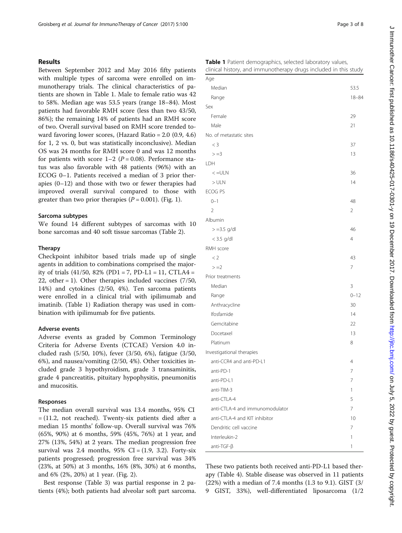# Results

Between September 2012 and May 2016 fifty patients with multiple types of sarcoma were enrolled on immunotherapy trials. The clinical characteristics of patients are shown in Table 1. Male to female ratio was 42 to 58%. Median age was 53.5 years (range 18–84). Most patients had favorable RMH score (less than two 43/50, 86%); the remaining 14% of patients had an RMH score of two. Overall survival based on RMH score trended toward favoring lower scores, (Hazard Ratio = 2.0 (0.9, 4.6) for 1, 2 vs. 0, but was statistically inconclusive). Median OS was 24 months for RMH score 0 and was 12 months for patients with score  $1-2$  ( $P = 0.08$ ). Performance status was also favorable with 48 patients (96%) with an ECOG 0–1. Patients received a median of 3 prior therapies (0–12) and those with two or fewer therapies had improved overall survival compared to those with greater than two prior therapies  $(P = 0.001)$ . (Fig. [1](#page-3-0)).

## Sarcoma subtypes

We found 14 different subtypes of sarcomas with 10 bone sarcomas and 40 soft tissue sarcomas (Table [2\)](#page-3-0).

### Therapy

Checkpoint inhibitor based trials made up of single agents in addition to combinations comprised the majority of trials  $(41/50, 82\%$  (PD1 = 7, PD-L1 = 11, CTLA4 = 22, other = 1). Other therapies included vaccines  $(7/50, 10)$ 14%) and cytokines (2/50, 4%). Ten sarcoma patients were enrolled in a clinical trial with ipilimumab and imatinib. (Table 1) Radiation therapy was used in combination with ipilimumab for five patients.

## Adverse events

Adverse events as graded by Common Terminology Criteria for Adverse Events (CTCAE) Version 4.0 included rash (5/50, 10%), fever (3/50, 6%), fatigue (3/50, 6%), and nausea/vomiting (2/50, 4%). Other toxicities included grade 3 hypothyroidism, grade 3 transaminitis, grade 4 pancreatitis, pituitary hypophysitis, pneumonitis and mucositis.

# Responses

The median overall survival was 13.4 months, 95% CI = (11.2, not reached). Twenty-six patients died after a median 15 months' follow-up. Overall survival was 76% (65%, 90%) at 6 months, 59% (45%, 76%) at 1 year, and 27% (13%, 54%) at 2 years. The median progression free survival was 2.4 months,  $95\%$  CI = (1.9, 3.2). Forty-six patients progressed; progression free survival was 34% (23%, at 50%) at 3 months, 16% (8%, 30%) at 6 months, and 6% (2%, 20%) at 1 year. (Fig. [2\)](#page-4-0).

Best response (Table [3](#page-4-0)) was partial response in 2 patients (4%); both patients had alveolar soft part sarcoma.

|  | Table 1 Patient demographics, selected laboratory values,        |  |  |  |
|--|------------------------------------------------------------------|--|--|--|
|  | clinical history, and immunotherapy drugs included in this study |  |  |  |

| Age                             |                |
|---------------------------------|----------------|
| Median                          | 53.5           |
| Range                           | $18 - 84$      |
| Sex                             |                |
| Female                          | 29             |
| Male                            | 21             |
| No. of metastatic sites         |                |
| $<$ 3                           | 37             |
| $> = 3$                         | 13             |
| LDH                             |                |
| $\lt$ =ULN                      | 36             |
| $>$ ULN                         | 14             |
| ECOG PS                         |                |
| $0 - 1$                         | 48             |
| $\overline{2}$                  | 2              |
| Albumin                         |                |
| $> = 3.5$ g/dl                  | 46             |
| $<$ 3.5 g/dl                    | $\overline{4}$ |
| RMH score                       |                |
| < 2                             | 43             |
| $>=2$                           | $\overline{7}$ |
| Prior treatments                |                |
| Median                          | 3              |
| Range                           | $0 - 12$       |
| Anthracycline                   | 30             |
| Ifosfamide                      | 14             |
| Gemcitabine                     | 22             |
| Docetaxel                       | 13             |
| Platinum                        | 8              |
| Investigational therapies       |                |
| anti-CCR4 and anti-PD-L1        | 4              |
| anti-PD-1                       | 7              |
| anti-PD-L1                      | 7              |
| anti-TIM-3                      | 1              |
| anti-CTLA-4                     | 5              |
| anti-CTLA-4 and immunomodulator | 7              |
| anti-CTLA-4 and KIT inhibitor   | 10             |
| Dendritic cell vaccine          | 7              |
| Interleukin-2                   | 1              |
| $anti-TGF-B$                    | 1              |

These two patients both received anti-PD-L1 based therapy (Table [4\)](#page-5-0). Stable disease was observed in 11 patients (22%) with a median of 7.4 months (1.3 to 9.1). GIST (3/ 9 GIST, 33%), well-differentiated liposarcoma (1/2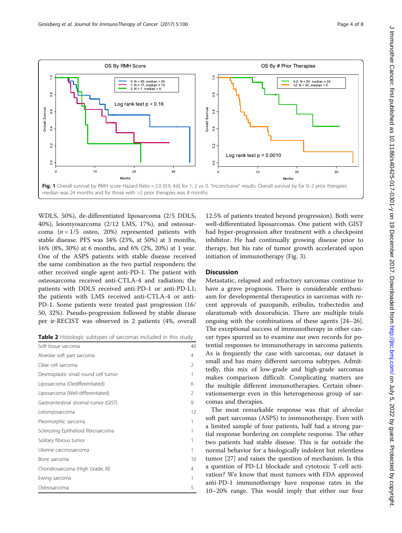<span id="page-3-0"></span>

WDLS, 50%), de-differentiated liposarcoma (2/5 DDLS, 40%), leiomyosarcoma (2/12 LMS, 17%), and osteosarcoma  $(n = 1/5)$  osteo, 20%) represented patients with stable disease. PFS was 34% (23%, at 50%) at 3 months, 16% (8%, 30%) at 6 months, and 6% (2%, 20%) at 1 year. One of the ASPS patients with stable disease received the same combination as the two partial responders; the other received single agent anti-PD-1. The patient with osteosarcoma received anti-CTLA-4 and radiation; the patients with DDLS received anti-PD-1 or anti-PD-L1; the patients with LMS received anti-CTLA-4 or anti-PD-1. Some patients were treated past progression (16/ 50, 32%). Pseudo-progression followed by stable disease per ir-RECIST was observed in 2 patients (4%, overall

|  |  | Table 2 Histologic subtypes of sarcomas included in this study |  |
|--|--|----------------------------------------------------------------|--|
|--|--|----------------------------------------------------------------|--|

| Soft tissue sarcoma                   | 40             |
|---------------------------------------|----------------|
| Alveolar soft part sarcoma            | 4              |
| Clear cell sarcoma                    | $\mathfrak{D}$ |
| Desmoplastic small round cell tumor   |                |
| Liposarcoma (Dedifferentiated)        | 6              |
| Liposarcoma (Well-differentiated)     | $\mathfrak{D}$ |
| Gastrointestinal stromal tumor (GIST) | 9              |
| Leiomyosarcoma                        | 12             |
| Pleomorphic sarcoma                   |                |
| Sclerosing Epithelioid fibrosarcoma   |                |
| Solitary fibrous tumor                |                |
| Uterine carcinosarcoma                |                |
| Bone sarcoma                          | 10             |
| Chondrosarcoma (High Grade, III)      | 4              |
| Ewing sarcoma                         |                |
| Osteosarcoma                          | 5              |

12.5% of patients treated beyond progression). Both were well-differentiated liposarcomas. One patient with GIST had hyper-progression after treatment with a checkpoint inhibitor. He had continually growing disease prior to therapy, but his rate of tumor growth accelerated upon initiation of immunotherapy (Fig. [3](#page-5-0)).

# **Discussion**

Metastatic, relapsed and refractory sarcomas continue to have a grave prognosis. There is considerable enthusiasm for developmental therapeutics in sarcomas with recent approvals of pazopanib, eribulin, trabectedin and olaratumab with doxorubicin. There are multiple trials ongoing with the combinations of these agents [[24](#page-7-0)–[26](#page-7-0)]. The exceptional success of immunotherapy in other cancer types spurred us to examine our own records for potential responses to immunotherapy in sarcoma patients. As is frequently the case with sarcomas, our dataset is small and has many different sarcoma subtypes. Admittedly, this mix of low-grade and high-grade sarcomas makes comparison difficult. Complicating matters are the multiple different immunotherapies. Certain observationsemerge even in this heterogeneous group of sarcomas and therapies.

The most remarkable response was that of alveolar soft part sarcomas (ASPS) to immunotherapy. Even with a limited sample of four patients, half had a strong partial response bordering on complete response. The other two patients had stable disease. This is far outside the normal behavior for a biologically indolent but relentless tumor [\[27](#page-7-0)] and raises the question of mechanism. Is this a question of PD-L1 blockade and cytotoxic T-cell activation? We know that most tumors with FDA approved anti-PD-1 immunotherapy have response rates in the 10–20% range. This would imply that either our four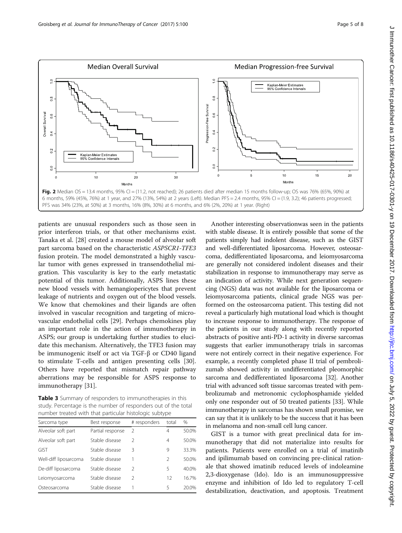

<span id="page-4-0"></span>

patients are unusual responders such as those seen in prior interferon trials, or that other mechanisms exist. Tanaka et al. [[28\]](#page-7-0) created a mouse model of alveolar soft part sarcoma based on the characteristic ASPSCR1-TFE3 fusion protein. The model demonstrated a highly vascular tumor with genes expressed in transendothelial migration. This vascularity is key to the early metastatic potential of this tumor. Additionally, ASPS lines these new blood vessels with hemangiopericytes that prevent leakage of nutrients and oxygen out of the blood vessels. We know that chemokines and their ligands are often involved in vascular recognition and targeting of microvascular endothelial cells [[29\]](#page-7-0). Perhaps chemokines play an important role in the action of immunotherapy in ASPS; our group is undertaking further studies to elucidate this mechanism. Alternatively, the TFE3 fusion may be immunogenic itself or act via TGF-β or CD40 ligand to stimulate T-cells and antigen presenting cells [\[30](#page-7-0)]. Others have reported that mismatch repair pathway aberrations may be responsible for ASPS response to immunotherapy [\[31\]](#page-7-0).

Table 3 Summary of responders to immunotherapies in this study. Percentage is the number of responders out of the total number treated with that particular histologic subtype

| Sarcoma type          | Best response    | # responders  | total         | %     |
|-----------------------|------------------|---------------|---------------|-------|
| Alveolar soft part    | Partial response | 2             | 4             | 50.0% |
| Alveolar soft part    | Stable disease   | 2             | 4             | 50.0% |
| GIST                  | Stable disease   | 3             | 9             | 33.3% |
| Well-diff liposarcoma | Stable disease   |               | $\mathcal{P}$ | 50.0% |
| De-diff liposarcoma   | Stable disease   | $\mathcal{P}$ | 5             | 40.0% |
| Leiomyosarcoma        | Stable disease   | $\mathcal{P}$ | 12            | 16.7% |
| Osteosarcoma          | Stable disease   |               | 5             | 20.0% |

Another interesting observationwas seen in the patients with stable disease. It is entirely possible that some of the patients simply had indolent disease, such as the GIST and well-differentiated liposarcoma. However, osteosarcoma, dedifferentiated liposarcoma, and leiomyosarcoma are generally not considered indolent diseases and their stabilization in response to immunotherapy may serve as an indication of activity. While next generation sequencing (NGS) data was not available for the liposarcoma or leiomyosarcoma patients, clinical grade NGS was performed on the osteosarcoma patient. This testing did not reveal a particularly high mutational load which is thought to increase response to immunotherapy. The response of the patients in our study along with recently reported abstracts of positive anti-PD-1 activity in diverse sarcomas suggests that earlier immunotherapy trials in sarcomas were not entirely correct in their negative experience. For example, a recently completed phase II trial of pembrolizumab showed activity in undifferentiated pleomorphic sarcoma and dedifferentiated liposarcoma [[32](#page-7-0)]. Another trial with advanced soft tissue sarcomas treated with pembrolizumab and metronomic cyclophosphamide yielded only one responder out of 50 treated patients [\[33\]](#page-7-0). While immunotherapy in sarcomas has shown small promise, we can say that it is unlikely to be the success that it has been in melanoma and non-small cell lung cancer.

GIST is a tumor with great preclinical data for immunotherapy that did not materialize into results for patients. Patients were enrolled on a trial of imatinib and ipilimumab based on convincing pre-clinical rationale that showed imatinib reduced levels of indoleamine 2,3-dioxygenase (Ido). Ido is an immunosuppressive enzyme and inhibition of Ido led to regulatory T-cell destabilization, deactivation, and apoptosis. Treatment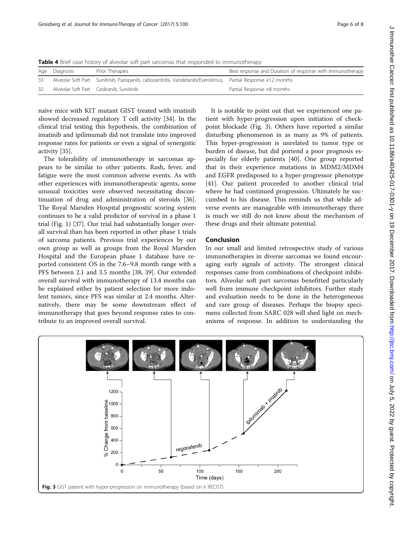<span id="page-5-0"></span>Table 4 Brief case history of alveolar soft part sarcomas that responded to immunotherapy

|    | Age Diagnosis | Prior Therapies                                                                                           | Best response and Duration of response with Immunotherapy |
|----|---------------|-----------------------------------------------------------------------------------------------------------|-----------------------------------------------------------|
| 33 |               | Alveolar Soft Part Sunitinib, Pazopanib, cabozantinbi, Vandetanib/Everolimus, Partial Response x12 months |                                                           |
| 32 |               | Alveolar Soft Part Cediranib, Sunitinib                                                                   | Partial Response ×8 months                                |

naïve mice with KIT mutant GIST treated with imatinib showed decreased regulatory T cell activity [[34](#page-7-0)]. In the clinical trial testing this hypothesis, the combination of imatinib and ipilimumab did not translate into improved response rates for patients or even a signal of synergistic activity [[35\]](#page-7-0).

The tolerability of immunotherapy in sarcomas appears to be similar to other patients. Rash, fever, and fatigue were the most common adverse events. As with other experiences with immunotherapeutic agents, some unusual toxicities were observed necessitating discontinuation of drug and administration of steroids [\[36](#page-7-0)]. The Royal Marsden Hospital prognostic scoring system continues to be a valid predictor of survival in a phase 1 trial (Fig. [1\)](#page-3-0) [\[37](#page-7-0)]. Our trial had substantially longer overall survival than has been reported in other phase 1 trials of sarcoma patients. Previous trial experiences by our own group as well as groups from the Royal Marsden Hospital and the European phase 1 database have reported consistent OS in the 7.6–9.8 month range with a PFS between 2.1 and 3.5 months [[38](#page-7-0), [39\]](#page-7-0). Our extended overall survival with immunotherapy of 13.4 months can be explained either by patient selection for more indolent tumors, since PFS was similar at 2.4 months. Alternatively, there may be some downstream effect of immunotherapy that goes beyond response rates to contribute to an improved overall survival.

It is notable to point out that we experienced one patient with hyper-progression upon initiation of checkpoint blockade (Fig. 3). Others have reported a similar disturbing phenomenon in as many as 9% of patients. This hyper-progression is unrelated to tumor type or burden of disease, but did portend a poor prognosis especially for elderly patients [[40\]](#page-7-0). One group reported that in their experience mutations in MDM2/MDM4 and EGFR predisposed to a hyper-progressor phenotype [[41\]](#page-7-0). Our patient proceeded to another clinical trial where he had continued progression. Ultimately he succumbed to his disease. This reminds us that while adverse events are manageable with immunotherapy there is much we still do not know about the mechanism of these drugs and their ultimate potential.

# Conclusion

In our small and limited retrospective study of various immunotherapies in diverse sarcomas we found encouraging early signals of activity. The strongest clinical responses came from combinations of checkpoint inhibitors. Alveolar soft part sarcomas benefitted particularly well from immune checkpoint inhibitors. Further study and evaluation needs to be done in the heterogeneous and rare group of diseases. Perhaps the biopsy specimens collected from SARC 028 will shed light on mechanisms of response. In addition to understanding the

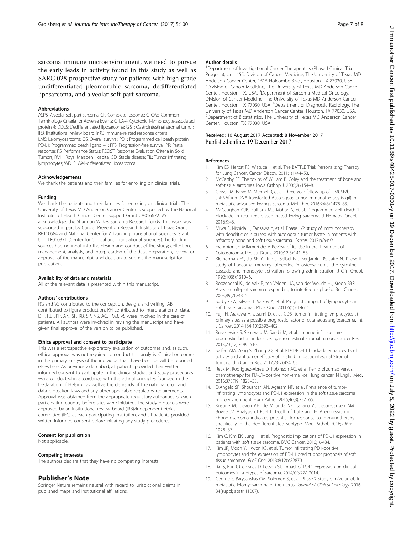<span id="page-6-0"></span>sarcoma immune microenvironment, we need to pursue the early leads in activity found in this study as well as SARC 028 prospective study for patients with high grade undifferentiated pleomorphic sarcoma, dedifferentiated liposarcoma, and alveolar soft part sarcoma.

#### Abbreviations

ASPS: Alveolar soft part sarcoma; CR: Complete response; CTCAE: Common Terminology Criteria for Adverse Events; CTLA-4: Cytotoxic T-lymphocyte-associated protein 4; DDLS: Dedifferentiated liposarcoma; GIST: Qastrointestinal stromal tumor; IRB: IInstitutional review board; irRC: Immune-related response criteria; LMS: Leiomyosarcoma; OS: Overall survival; PD1: Programmed cell death protein; PD-L1: Programmed death ligand −1; PFS: Progression-free survival; PR: Partial response; PS: Performance Status; RECIST: Response Evaluation Criteria in Solid Tumors; RMH: Royal Marsden Hospital; SD: Stable disease; TIL: Tumor infiltrating lymphocytes; WDLS: Well-differentiated liposarcoma

#### Acknowledgements

We thank the patients and their families for enrolling on clinical trials.

#### Funding

We thank the patients and their families for enrolling on clinical trials. The University of Texas MD Anderson Cancer Center is supported by the National Institutes of Health Cancer Center Support Grant CA016672. VS acknowledges the Shannon Wilkes Sarcoma Research funds. This work was supported in part by Cancer Prevention Research Institute of Texas Grant RP110584 and National Center for Advancing Translational Sciences Grant UL1 TR000371 (Center for Clinical and Translational Sciences).The funding sources had no input into the design and conduct of the study; collection, management, analysis, and interpretation of the data; preparation, review, or approval of the manuscript; and decision to submit the manuscript for publication.

#### Availability of data and materials

All of the relevant data is presented within this manuscript.

#### Authors' contributions

RG and VS contributed to the conception, design, and writing. AB contributed to figure production. KH contributed to interpretation of data. DH, FJ, SPP, AN, SF, RB, SP, NS, AC, FMB, VS were involved in the care of patients. All authors were involved in revising the manuscript and have given final approval of the version to be published.

#### Ethics approval and consent to participate

This was a retrospective exploratory evaluation of outcomes and, as such, ethical approval was not required to conduct this analysis. Clinical outcomes in the primary analysis of the individual trials have been or will be reported elsewhere. As previously described, all patients provided their written informed consent to participate in the clinical studies and study procedures were conducted in accordance with the ethical principles founded in the Declaration of Helsinki, as well as the demands of the national drug and data protection laws and any other applicable regulatory requirements. Approval was obtained from the appropriate regulatory authorities of each participating country before sites were initiated. The study protocols were approved by an institutional review board (IRB)/independent ethics committee (IEC) at each participating institution, and all patients provided written informed consent before initiating any study procedures.

#### Consent for publication

Not applicable.

#### Competing interests

The authors declare that they have no competing interests.

## Publisher's Note

Springer Nature remains neutral with regard to jurisdictional claims in published maps and institutional affiliations.

#### Author details

<sup>1</sup>Department of Investigational Cancer Therapeutics (Phase I Clinical Trials Program), Unit 455, Division of Cancer Medicine, The University of Texas MD Anderson Cancer Center, 1515 Holcombe Blvd., Houston, TX 77030, USA. <sup>2</sup> Division of Cancer Medicine, The University of Texas MD Anderson Cancer Center, Houston, TX, USA. <sup>3</sup> Department of Sarcoma Medical Oncology, Division of Cancer Medicine, The University of Texas MD Anderson Cancer Center, Houston, TX 77030, USA. <sup>4</sup>Department of Diagnostic Radiology, The University of Texas MD Anderson Cancer Center, Houston, TX 77030, USA. 5 Department of Biostatistics, The University of Texas MD Anderson Cancer Center, Houston, TX 77030, USA.

#### Received: 10 August 2017 Accepted: 8 November 2017 Published online: 19 December 2017

#### References

- 1. Kim ES, Herbst RS, Wistuba II, et al. The BATTLE Trial: Personalizing Therapy for Lung Cancer. Cancer Discov. 2011;1(1):44–53.
- 2. McCarthy EF. The toxins of William B. Coley and the treatment of bone and soft-tissue sarcomas. Iowa Orthop J. 2006;26:154–8.
- 3. Ghisoli M, Barve M, Mennel R, et al. Three-year follow up of GMCSF/bishRNAfurin DNA-transfected Autologous tumor immunotherapy (vigil) in metastatic advanced Ewing's sarcoma. Mol Ther. 2016;24(8):1478–83.
- 4. McCaughan GJB, Fulham MJ, Mahar A, et al. Programmed cell death-1 blockade in recurrent disseminated Ewing sarcoma. J Hematol Oncol. 2016;9:48.
- 5. Miwa S, Nishida H, Tanzawa Y, et al. Phase 1/2 study of immunotherapy with dendritic cells pulsed with autologous tumor lysate in patients with
- refractory bone and soft tissue sarcoma. Cancer. 2017:n/a-n/a. 6. Frampton JE. Mifamurtide: A Review of its Use in the Treatment of Osteosarcoma. Pediatr-Drugs. 2010;12(3):141–53.
- Kleinerman ES, Jia SF, Griffin J, Seibel NL, Benjamin RS, Jaffe N. Phase II study of liposomal muramyl tripeptide in osteosarcoma: the cytokine cascade and monocyte activation following administration. J Clin Oncol. 1992;10(8):1310–6.
- 8. Roozendaal KJ, de Valk B, ten Velden JJA, van der Woude HJ, Kroon BBR. Alveolar soft-part sarcoma responding to interferon alpha-2b. Br J Cancer. 2003;89(2):243–5.
- 9. Sorbye SW, Kilvaer T, Valkov A, et al. Prognostic impact of lymphocytes in soft tissue sarcomas. PLoS One. 2011;6(1):e14611.
- 10. Fujii H, Arakawa A, Utsumi D, et al. CD8+tumor-infiltrating lymphocytes at primary sites as a possible prognostic factor of cutaneous angiosarcoma. Int J Cancer. 2014;134(10):2393–402.
- 11. Rusakiewicz S, Semeraro M, Sarabi M, et al. Immune infiltrates are prognostic factors in localized gastrointestinal Stromal tumors. Cancer Res. 2013;73(12):3499–510.
- 12. Seifert AM, Zeng S, Zhang JQ, et al. PD-1/PD-L1 blockade enhances T-cell activity and antitumor efficacy of Imatinib in gastrointestinal Stromal tumors. Clin Cancer Res. 2017;23(2):454–65.
- 13. Reck M, Rodríguez-Abreu D, Robinson AG, et al. Pembrolizumab versus chemotherapy for PD-L1–positive non–small-cell lung cancer. N Engl J Med. 2016;375(19):1823–33.
- 14. D'Angelo SP, Shoushtari AN, Agaram NP, et al. Prevalence of tumorinfiltrating lymphocytes and PD-L1 expression in the soft tissue sarcoma microenvironment. Hum Pathol. 2015;46(3):357–65.
- 15. Kostine M, Cleven AH, de Miranda NF, Italiano A, Cleton-Jansen AM, Bovee JV. Analysis of PD-L1, T-cell infiltrate and HLA expression in chondrosarcoma indicates potential for response to immunotherapy specifically in the dedifferentiated subtype. Mod Pathol. 2016;29(9): 1028–37.
- 16. Kim C, Kim EK, Jung H, et al. Prognostic implications of PD-L1 expression in patients with soft tissue sarcoma. BMC Cancer. 2016;16:434.
- 17. Kim JR, Moon YJ, Kwon KS, et al. Tumor infiltrating PD1-positive lymphocytes and the expression of PD-L1 predict poor prognosis of soft tissue sarcomas. PLoS One. 2013;8(12):e82870.
- 18. Raj S, Bui R, Gonzales D, Letson SJ. Impact of PDL1 expression on clinical outcomes in subtypes of sarcoma. 2014/09/27/, 2014.
- 19. George S, Barysauskas CM, Solomon S, et al. Phase 2 study of nivolumab in metastatic leiomyosarcoma of the uterus. Journal of Clinical Oncology. 2016; 34(suppl; abstr 11007).